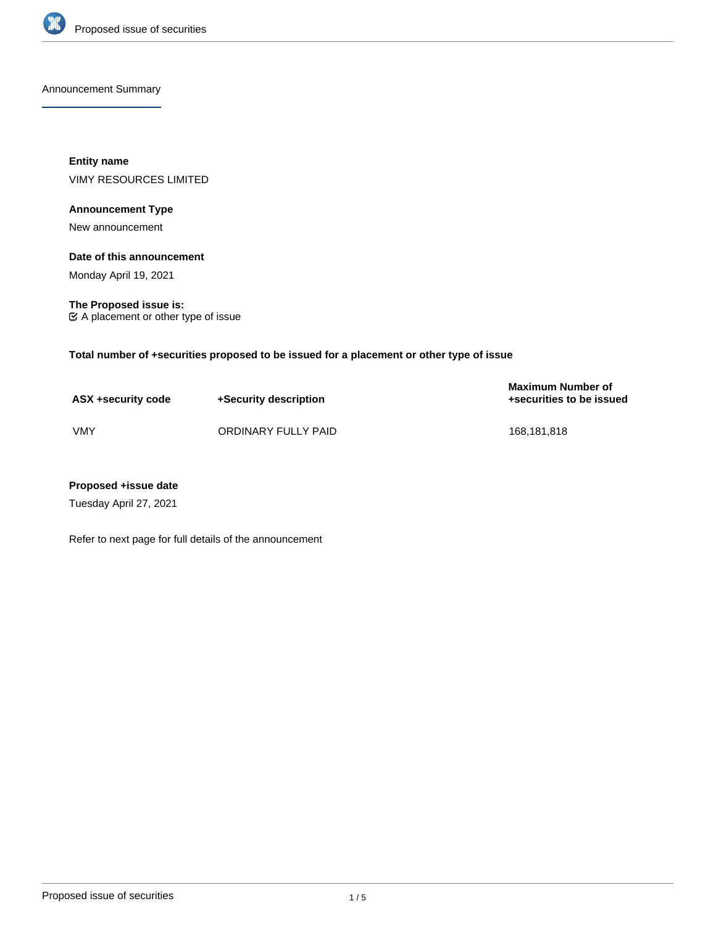

Announcement Summary

**Entity name** VIMY RESOURCES LIMITED

# **Announcement Type**

New announcement

# **Date of this announcement**

Monday April 19, 2021

**The Proposed issue is:** A placement or other type of issue

**Total number of +securities proposed to be issued for a placement or other type of issue**

| ASX +security code | +Security description | <b>Maximum Number of</b><br>+securities to be issued |
|--------------------|-----------------------|------------------------------------------------------|
| <b>VMY</b>         | ORDINARY FULLY PAID   | 168.181.818                                          |

# **Proposed +issue date**

Tuesday April 27, 2021

Refer to next page for full details of the announcement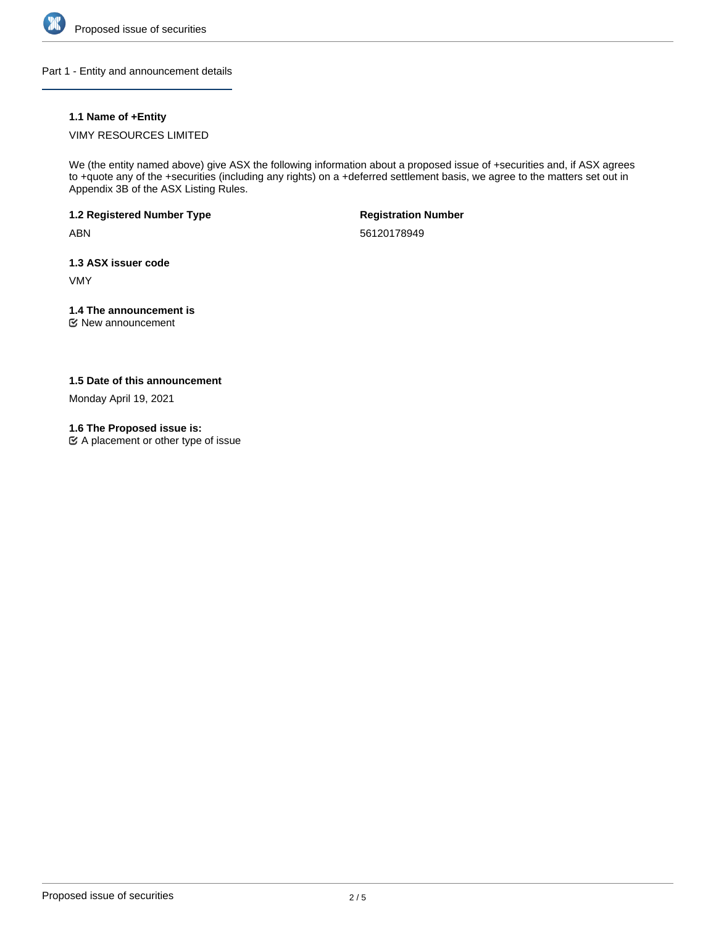

Part 1 - Entity and announcement details

# **1.1 Name of +Entity**

VIMY RESOURCES LIMITED

We (the entity named above) give ASX the following information about a proposed issue of +securities and, if ASX agrees to +quote any of the +securities (including any rights) on a +deferred settlement basis, we agree to the matters set out in Appendix 3B of the ASX Listing Rules.

**1.2 Registered Number Type**

ABN

**Registration Number**

56120178949

**1.3 ASX issuer code**

VMY

# **1.4 The announcement is**

New announcement

# **1.5 Date of this announcement**

Monday April 19, 2021

## **1.6 The Proposed issue is:**

A placement or other type of issue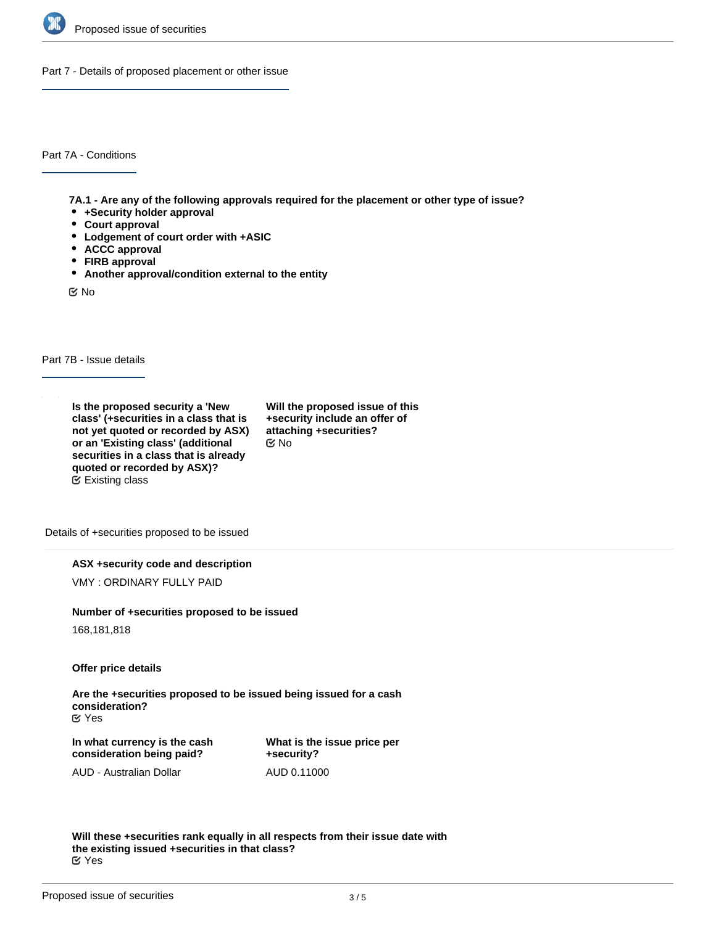

Part 7 - Details of proposed placement or other issue

Part 7A - Conditions

**7A.1 - Are any of the following approvals required for the placement or other type of issue?**

- **+Security holder approval**
- **Court approval**
- **Lodgement of court order with +ASIC**
- **ACCC approval**
- **FIRB approval**
- **Another approval/condition external to the entity**

No

Part 7B - Issue details

**Is the proposed security a 'New class' (+securities in a class that is not yet quoted or recorded by ASX) or an 'Existing class' (additional securities in a class that is already quoted or recorded by ASX)?** Existing class

**Will the proposed issue of this +security include an offer of attaching +securities?** No

Details of +securities proposed to be issued

**ASX +security code and description**

VMY : ORDINARY FULLY PAID

#### **Number of +securities proposed to be issued**

168,181,818

**Offer price details**

**Are the +securities proposed to be issued being issued for a cash consideration?** Yes

**In what currency is the cash consideration being paid?**

**What is the issue price per +security?** AUD 0.11000

AUD - Australian Dollar

**Will these +securities rank equally in all respects from their issue date with the existing issued +securities in that class?** Yes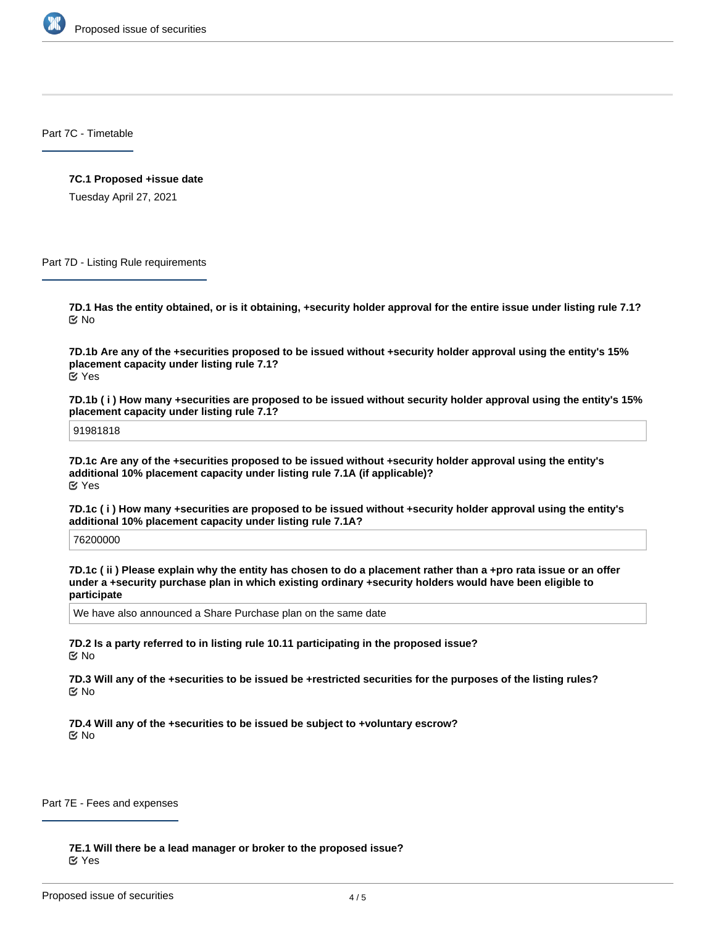

Part 7C - Timetable

#### **7C.1 Proposed +issue date**

Tuesday April 27, 2021

Part 7D - Listing Rule requirements

**7D.1 Has the entity obtained, or is it obtaining, +security holder approval for the entire issue under listing rule 7.1?** No

**7D.1b Are any of the +securities proposed to be issued without +security holder approval using the entity's 15% placement capacity under listing rule 7.1?** Yes

**7D.1b ( i ) How many +securities are proposed to be issued without security holder approval using the entity's 15% placement capacity under listing rule 7.1?**

91981818

**7D.1c Are any of the +securities proposed to be issued without +security holder approval using the entity's additional 10% placement capacity under listing rule 7.1A (if applicable)?** Yes

**7D.1c ( i ) How many +securities are proposed to be issued without +security holder approval using the entity's additional 10% placement capacity under listing rule 7.1A?**

76200000

**7D.1c ( ii ) Please explain why the entity has chosen to do a placement rather than a +pro rata issue or an offer under a +security purchase plan in which existing ordinary +security holders would have been eligible to participate**

We have also announced a Share Purchase plan on the same date

**7D.2 Is a party referred to in listing rule 10.11 participating in the proposed issue?** No

**7D.3 Will any of the +securities to be issued be +restricted securities for the purposes of the listing rules?** No

**7D.4 Will any of the +securities to be issued be subject to +voluntary escrow? K** No

Part 7E - Fees and expenses

**7E.1 Will there be a lead manager or broker to the proposed issue?** Yes